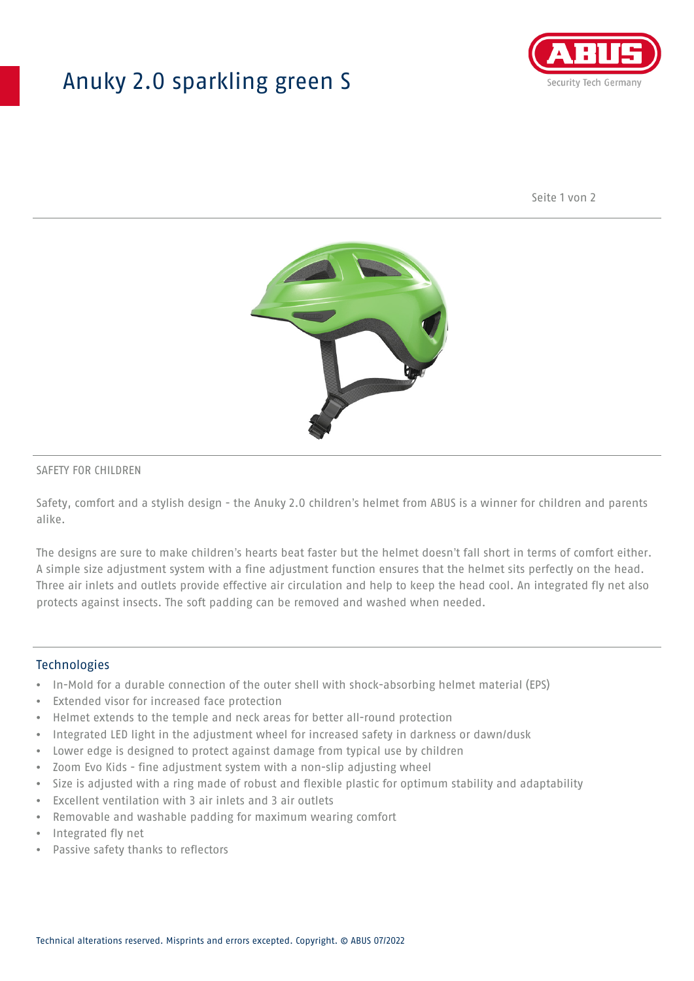## Anuky 2.0 sparkling green S



Seite 1 von 2



### SAFETY FOR CHILDREN

Safety, comfort and a stylish design - the Anuky 2.0 children's helmet from ABUS is a winner for children and parents alike.

The designs are sure to make children's hearts beat faster but the helmet doesn't fall short in terms of comfort either. A simple size adjustment system with a fine adjustment function ensures that the helmet sits perfectly on the head. Three air inlets and outlets provide effective air circulation and help to keep the head cool. An integrated fly net also protects against insects. The soft padding can be removed and washed when needed.

#### **Technologies**

- In-Mold for a durable connection of the outer shell with shock-absorbing helmet material (EPS)
- Extended visor for increased face protection
- Helmet extends to the temple and neck areas for better all-round protection
- Integrated LED light in the adjustment wheel for increased safety in darkness or dawn/dusk
- Lower edge is designed to protect against damage from typical use by children
- Zoom Evo Kids fine adjustment system with a non-slip adjusting wheel
- Size is adjusted with a ring made of robust and flexible plastic for optimum stability and adaptability
- Excellent ventilation with 3 air inlets and 3 air outlets
- Removable and washable padding for maximum wearing comfort
- Integrated fly net
- Passive safety thanks to reflectors